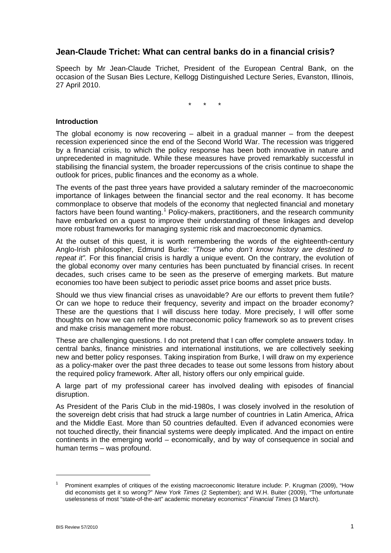# **Jean-Claude Trichet: What can central banks do in a financial crisis?**

Speech by Mr Jean-Claude Trichet, President of the European Central Bank, on the occasion of the Susan Bies Lecture, Kellogg Distinguished Lecture Series, Evanston, Illinois, 27 April 2010.

\* \* \*

#### **Introduction**

The global economy is now recovering  $-$  albeit in a gradual manner  $-$  from the deepest recession experienced since the end of the Second World War. The recession was triggered by a financial crisis, to which the policy response has been both innovative in nature and unprecedented in magnitude. While these measures have proved remarkably successful in stabilising the financial system, the broader repercussions of the crisis continue to shape the outlook for prices, public finances and the economy as a whole.

The events of the past three years have provided a salutary reminder of the macroeconomic importance of linkages between the financial sector and the real economy. It has become commonplace to observe that models of the economy that neglected financial and monetary factors have been found wanting.<sup>[1](#page-0-0)</sup> Policy-makers, practitioners, and the research community have embarked on a quest to improve their understanding of these linkages and develop more robust frameworks for managing systemic risk and macroeconomic dynamics.

At the outset of this quest, it is worth remembering the words of the eighteenth-century Anglo-Irish philosopher, Edmund Burke: *"Those who don't know history are destined to repeat it".* For this financial crisis is hardly a unique event. On the contrary, the evolution of the global economy over many centuries has been punctuated by financial crises. In recent decades, such crises came to be seen as the preserve of emerging markets. But mature economies too have been subject to periodic asset price booms and asset price busts.

Should we thus view financial crises as unavoidable? Are our efforts to prevent them futile? Or can we hope to reduce their frequency, severity and impact on the broader economy? These are the questions that I will discuss here today. More precisely, I will offer some thoughts on how we can refine the macroeconomic policy framework so as to prevent crises and make crisis management more robust.

These are challenging questions. I do not pretend that I can offer complete answers today. In central banks, finance ministries and international institutions, we are collectively seeking new and better policy responses. Taking inspiration from Burke, I will draw on my experience as a policy-maker over the past three decades to tease out some lessons from history about the required policy framework. After all, history offers our only empirical guide.

A large part of my professional career has involved dealing with episodes of financial disruption.

As President of the Paris Club in the mid-1980s, I was closely involved in the resolution of the sovereign debt crisis that had struck a large number of countries in Latin America, Africa and the Middle East. More than 50 countries defaulted. Even if advanced economies were not touched directly, their financial systems were deeply implicated. And the impact on entire continents in the emerging world – economically, and by way of consequence in social and human terms – was profound.

-

<span id="page-0-0"></span><sup>1</sup> Prominent examples of critiques of the existing macroeconomic literature include: P. Krugman (2009), "How did economists get it so wrong?" *New York Times* (2 September); and W.H. Buiter (2009), "The unfortunate uselessness of most "state-of-the-art" academic monetary economics" *Financial Times* (3 March).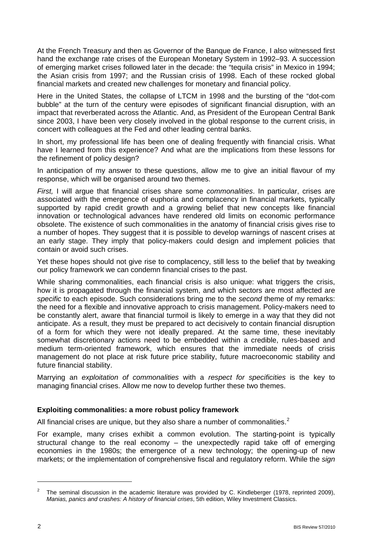At the French Treasury and then as Governor of the Banque de France, I also witnessed first hand the exchange rate crises of the European Monetary System in 1992–93. A succession of emerging market crises followed later in the decade: the "tequila crisis" in Mexico in 1994; the Asian crisis from 1997; and the Russian crisis of 1998. Each of these rocked global financial markets and created new challenges for monetary and financial policy.

Here in the United States, the collapse of LTCM in 1998 and the bursting of the "dot-com bubble" at the turn of the century were episodes of significant financial disruption, with an impact that reverberated across the Atlantic. And, as President of the European Central Bank since 2003, I have been very closely involved in the global response to the current crisis, in concert with colleagues at the Fed and other leading central banks.

In short, my professional life has been one of dealing frequently with financial crisis. What have I learned from this experience? And what are the implications from these lessons for the refinement of policy design?

In anticipation of my answer to these questions, allow me to give an initial flavour of my response, which will be organised around two themes.

*First,* I will argue that financial crises share some *commonalities*. In particular, crises are associated with the emergence of euphoria and complacency in financial markets, typically supported by rapid credit growth and a growing belief that new concepts like financial innovation or technological advances have rendered old limits on economic performance obsolete. The existence of such commonalities in the anatomy of financial crisis gives rise to a number of hopes. They suggest that it is possible to develop warnings of nascent crises at an early stage. They imply that policy-makers could design and implement policies that contain or avoid such crises.

Yet these hopes should not give rise to complacency, still less to the belief that by tweaking our policy framework we can condemn financial crises to the past.

While sharing commonalities, each financial crisis is also unique: what triggers the crisis, how it is propagated through the financial system, and which sectors are most affected are *specific* to each episode. Such considerations bring me to the *second* theme of my remarks: the need for a flexible and innovative approach to crisis management. Policy-makers need to be constantly alert, aware that financial turmoil is likely to emerge in a way that they did not anticipate. As a result, they must be prepared to act decisively to contain financial disruption of a form for which they were not ideally prepared. At the same time, these inevitably somewhat discretionary actions need to be embedded within a credible, rules-based and medium term-oriented framework, which ensures that the immediate needs of crisis management do not place at risk future price stability, future macroeconomic stability and future financial stability.

Marrying an *exploitation of commonalities* with a *respect for specificities* is the key to managing financial crises. Allow me now to develop further these two themes.

#### **Exploiting commonalities: a more robust policy framework**

All financial crises are unique, but they also share a number of commonalities.<sup>[2](#page-1-0)</sup>

For example, many crises exhibit a common evolution. The starting-point is typically structural change to the real economy – the unexpectedly rapid take off of emerging economies in the 1980s; the emergence of a new technology; the opening-up of new markets; or the implementation of comprehensive fiscal and regulatory reform. While the *sign*

<span id="page-1-0"></span><sup>2</sup> The seminal discussion in the academic literature was provided by C. Kindleberger (1978, reprinted 2009), *Manias, panics and crashes: A history of financial crises*, 5th edition, Wiley Investment Classics.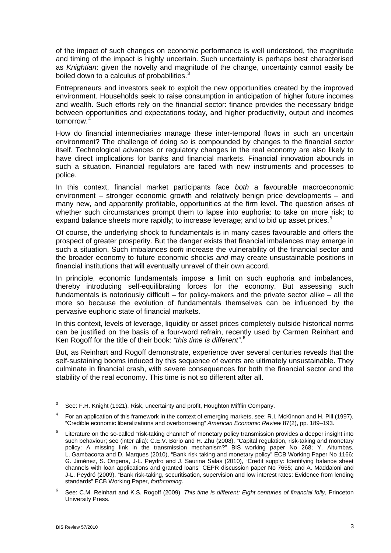of the impact of such changes on economic performance is well understood, the magnitude and timing of the impact is highly uncertain. Such uncertainty is perhaps best characterised as *Knightian*: given the novelty and magnitude of the change, uncertainty cannot easily be boiled down to a calculus of probabilities. $3$ 

Entrepreneurs and investors seek to exploit the new opportunities created by the improved environment. Households seek to raise consumption in anticipation of higher future incomes and wealth. Such efforts rely on the financial sector: finance provides the necessary bridge between opportunities and expectations today, and higher productivity, output and incomes tomorrow.<sup>[4](#page-2-1)</sup>

How do financial intermediaries manage these inter-temporal flows in such an uncertain environment? The challenge of doing so is compounded by changes to the financial sector itself. Technological advances or regulatory changes in the real economy are also likely to have direct implications for banks and financial markets. Financial innovation abounds in such a situation. Financial regulators are faced with new instruments and processes to police.

In this context, financial market participants face *both* a favourable macroeconomic environment – stronger economic growth and relatively benign price developments – and many new, and apparently profitable, opportunities at the firm level. The question arises of whether such circumstances prompt them to lapse into euphoria: to take on more risk; to expand balance sheets more rapidly; to increase leverage; and to bid up asset prices.<sup>[5](#page-2-2)</sup>

Of course, the underlying shock to fundamentals is in many cases favourable and offers the prospect of greater prosperity. But the danger exists that financial imbalances may emerge in such a situation. Such imbalances *both* increase the vulnerability of the financial sector and the broader economy to future economic shocks *and* may create unsustainable positions in financial institutions that will eventually unravel of their own accord.

In principle, economic fundamentals impose a limit on such euphoria and imbalances, thereby introducing self-equilibrating forces for the economy. But assessing such fundamentals is notoriously difficult – for policy-makers and the private sector alike – all the more so because the evolution of fundamentals themselves can be influenced by the pervasive euphoric state of financial markets.

In this context, levels of leverage, liquidity or asset prices completely outside historical norms can be justified on the basis of a four-word refrain, recently used by Carmen Reinhart and Ken Rogoff for the title of their book: *"this time is different"*. [6](#page-2-3)

But, as Reinhart and Rogoff demonstrate, experience over several centuries reveals that the self-sustaining booms induced by this sequence of events are ultimately unsustainable. They culminate in financial crash, with severe consequences for both the financial sector and the stability of the real economy. This time is not so different after all.

-

<span id="page-2-0"></span><sup>3</sup> See: F.H. Knight (1921), Risk, uncertainty and profit, Houghton Mifflin Company.

<span id="page-2-1"></span><sup>4</sup> For an application of this framework in the context of emerging markets, see: R.I. McKinnon and H. Pill (1997), "Credible economic liberalizations and overborrowing" *American Economic Review* 87(2), pp. 189–193.

<span id="page-2-2"></span><sup>5</sup> Literature on the so-called "risk-taking channel" of monetary policy transmission provides a deeper insight into such behaviour; see (inter alia): C.E.V. Borio and H. Zhu (2008), "Capital regulation, risk-taking and monetary policy: A missing link in the transmission mechanism?" BIS working paper No 268; Y. Altumbas, L. Gambacorta and D. Marques (2010), "Bank risk taking and monetary policy" ECB Working Paper No 1166; G. Jiménez, S. Ongena, J-L. Peydro and J. Saurina Salas (2010), "Credit supply: Identifying balance sheet channels with loan applications and granted loans" CEPR discussion paper No 7655; and A. Maddaloni and J-L. Peydró (2009), "Bank risk-taking, securitisation, supervision and low interest rates: Evidence from lending standards" ECB Working Paper, *forthcoming*.

<span id="page-2-3"></span><sup>6</sup> See: C.M. Reinhart and K.S. Rogoff (2009), *This time is different: Eight centuries of financial folly*, Princeton University Press.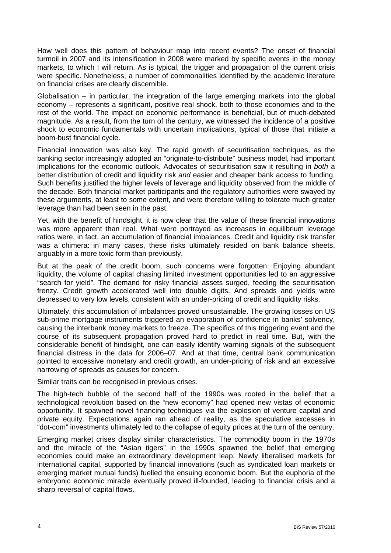How well does this pattern of behaviour map into recent events? The onset of financial turmoil in 2007 and its intensification in 2008 were marked by specific events in the money markets, to which I will return. As is typical, the trigger and propagation of the current crisis were specific. Nonetheless, a number of commonalities identified by the academic literature on financial crises are clearly discernible.

Globalisation – in particular, the integration of the large emerging markets into the global economy – represents a significant, positive real shock, both to those economies and to the rest of the world. The impact on economic performance is beneficial, but of much-debated magnitude. As a result, from the turn of the century, we witnessed the incidence of a positive shock to economic fundamentals with uncertain implications, typical of those that initiate a boom-bust financial cycle.

Financial innovation was also key. The rapid growth of securitisation techniques, as the banking sector increasingly adopted an "originate-to-distribute" business model, had important implications for the economic outlook. Advocates of securitisation saw it resulting in *both* a better distribution of credit and liquidity risk *and* easier and cheaper bank access to funding. Such benefits justified the higher levels of leverage and liquidity observed from the middle of the decade. Both financial market participants and the regulatory authorities were swayed by these arguments, at least to some extent, and were therefore willing to tolerate much greater leverage than had been seen in the past.

Yet, with the benefit of hindsight, it is now clear that the value of these financial innovations was more apparent than real. What were portrayed as increases in equilibrium leverage ratios were, in fact, an accumulation of financial imbalances. Credit and liquidity risk transfer was a chimera: in many cases, these risks ultimately resided on bank balance sheets, arguably in a more toxic form than previously.

But at the peak of the credit boom, such concerns were forgotten. Enjoying abundant liquidity, the volume of capital chasing limited investment opportunities led to an aggressive "search for yield". The demand for risky financial assets surged, feeding the securitisation frenzy. Credit growth accelerated well into double digits. And spreads and yields were depressed to very low levels, consistent with an under-pricing of credit and liquidity risks.

Ultimately, this accumulation of imbalances proved unsustainable. The growing losses on US sub-prime mortgage instruments triggered an evaporation of confidence in banks' solvency, causing the interbank money markets to freeze. The specifics of this triggering event and the course of its subsequent propagation proved hard to predict in real time. But, with the considerable benefit of hindsight, one can easily identify warning signals of the subsequent financial distress in the data for 2006–07. And at that time, central bank communication pointed to excessive monetary and credit growth, an under-pricing of risk and an excessive narrowing of spreads as causes for concern.

Similar traits can be recognised in previous crises.

The high-tech bubble of the second half of the 1990s was rooted in the belief that a technological revolution based on the "new economy" had opened new vistas of economic opportunity. It spawned novel financing techniques via the explosion of venture capital and private equity. Expectations again ran ahead of reality, as the speculative excesses in "dot-com" investments ultimately led to the collapse of equity prices at the turn of the century.

Emerging market crises display similar characteristics. The commodity boom in the 1970s and the miracle of the "Asian tigers" in the 1990s spawned the belief that emerging economies could make an extraordinary development leap. Newly liberalised markets for international capital, supported by financial innovations (such as syndicated loan markets or emerging market mutual funds) fuelled the ensuing economic boom. But the euphoria of the embryonic economic miracle eventually proved ill-founded, leading to financial crisis and a sharp reversal of capital flows.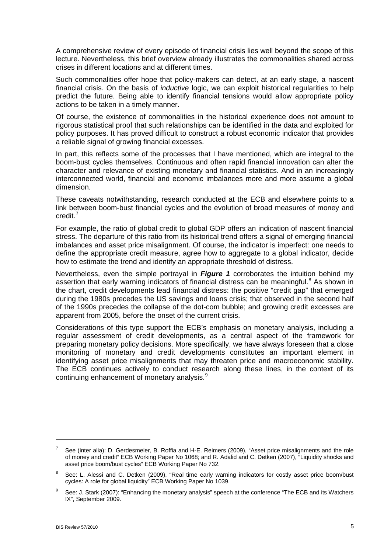A comprehensive review of every episode of financial crisis lies well beyond the scope of this lecture. Nevertheless, this brief overview already illustrates the commonalities shared across crises in different locations and at different times.

Such commonalities offer hope that policy-makers can detect, at an early stage, a nascent financial crisis. On the basis of *inductive* logic, we can exploit historical regularities to help predict the future. Being able to identify financial tensions would allow appropriate policy actions to be taken in a timely manner.

Of course, the existence of commonalities in the historical experience does not amount to rigorous statistical proof that such relationships can be identified in the data and exploited for policy purposes. It has proved difficult to construct a robust economic indicator that provides a reliable signal of growing financial excesses.

In part, this reflects some of the processes that I have mentioned, which are integral to the boom-bust cycles themselves. Continuous and often rapid financial innovation can alter the character and relevance of existing monetary and financial statistics. And in an increasingly interconnected world, financial and economic imbalances more and more assume a global dimension.

These caveats notwithstanding, research conducted at the ECB and elsewhere points to a link between boom-bust financial cycles and the evolution of broad measures of money and credit.[7](#page-4-0)

For example, the ratio of global credit to global GDP offers an indication of nascent financial stress. The departure of this ratio from its historical trend offers a signal of emerging financial imbalances and asset price misalignment. Of course, the indicator is imperfect: one needs to define the appropriate credit measure, agree how to aggregate to a global indicator, decide how to estimate the trend and identify an appropriate threshold of distress.

Nevertheless, even the simple portrayal in *Figure 1* corroborates the intuition behind my assertion that early warning indicators of financial distress can be meaningful. $8$  As shown in the chart, credit developments lead financial distress: the positive "credit gap" that emerged during the 1980s precedes the US savings and loans crisis; that observed in the second half of the 1990s precedes the collapse of the dot-com bubble; and growing credit excesses are apparent from 2005, before the onset of the current crisis.

Considerations of this type support the ECB's emphasis on monetary analysis, including a regular assessment of credit developments, as a central aspect of the framework for preparing monetary policy decisions. More specifically, we have always foreseen that a close monitoring of monetary and credit developments constitutes an important element in identifying asset price misalignments that may threaten price and macroeconomic stability. The ECB continues actively to conduct research along these lines, in the context of its continuing enhancement of monetary analysis.<sup>[9](#page-4-2)</sup>

<span id="page-4-0"></span><sup>7</sup> See (inter alia): D. Gerdesmeier, B. Roffia and H-E. Reimers (2009), "Asset price misalignments and the role of money and credit" ECB Working Paper No 1068; and R. Adalid and C. Detken (2007), "Liquidity shocks and asset price boom/bust cycles" ECB Working Paper No 732.

<span id="page-4-1"></span><sup>8</sup> See: L. Alessi and C. Detken (2009), "Real time early warning indicators for costly asset price boom/bust cycles: A role for global liquidity" ECB Working Paper No 1039.

<span id="page-4-2"></span><sup>9</sup> See: J. Stark (2007): "Enhancing the monetary analysis" speech at the conference "The ECB and its Watchers IX", September 2009.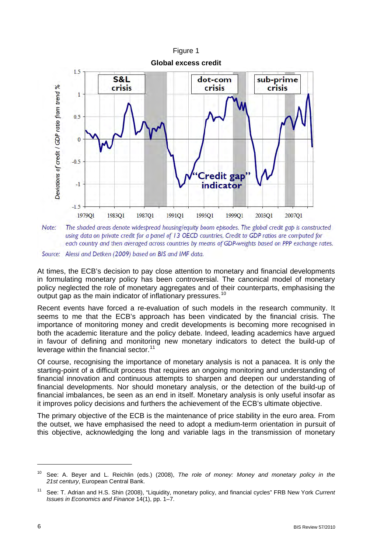

The shaded areas denote widespread housing/equity boom episodes. The global credit gap is constructed Note: using data on private credit for a panel of 13 OECD countries. Credit to GDP ratios are computed for each country and then averaged across countries by means of GDP-weights based on PPP exchange rates.

Source: Alessi and Detken (2009) based on BIS and IMF data.

At times, the ECB's decision to pay close attention to monetary and financial developments in formulating monetary policy has been controversial. The canonical model of monetary policy neglected the role of monetary aggregates and of their counterparts, emphasising the output gap as the main indicator of inflationary pressures.<sup>[10](#page-5-0)</sup>

Recent events have forced a re-evaluation of such models in the research community. It seems to me that the ECB's approach has been vindicated by the financial crisis. The importance of monitoring money and credit developments is becoming more recognised in both the academic literature and the policy debate. Indeed, leading academics have argued in favour of defining and monitoring new monetary indicators to detect the build-up of leverage within the financial sector. $11$ 

Of course, recognising the importance of monetary analysis is not a panacea. It is only the starting-point of a difficult process that requires an ongoing monitoring and understanding of financial innovation and continuous attempts to sharpen and deepen our understanding of financial developments. Nor should monetary analysis, or the detection of the build-up of financial imbalances, be seen as an end in itself. Monetary analysis is only useful insofar as it improves policy decisions and furthers the achievement of the ECB's ultimate objective.

The primary objective of the ECB is the maintenance of price stability in the euro area. From the outset, we have emphasised the need to adopt a medium-term orientation in pursuit of this objective, acknowledging the long and variable lags in the transmission of monetary

<span id="page-5-0"></span><sup>10</sup> See: A. Beyer and L. Reichlin (eds.) (2008), *The role of money: Money and monetary policy in the 21st century*, European Central Bank.

<span id="page-5-1"></span><sup>11</sup> See: T. Adrian and H.S. Shin (2008), "Liquidity, monetary policy, and financial cycles" FRB New York *Current Issues in Economics and Finance* 14(1), pp. 1–7.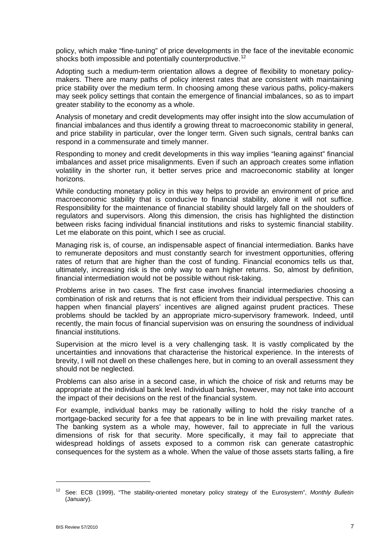policy, which make "fine-tuning" of price developments in the face of the inevitable economic shocks both impossible and potentially counterproductive.<sup>[12](#page-6-0)</sup>

Adopting such a medium-term orientation allows a degree of flexibility to monetary policymakers. There are many paths of policy interest rates that are consistent with maintaining price stability over the medium term. In choosing among these various paths, policy-makers may seek policy settings that contain the emergence of financial imbalances, so as to impart greater stability to the economy as a whole.

Analysis of monetary and credit developments may offer insight into the slow accumulation of financial imbalances and thus identify a growing threat to macroeconomic stability in general, and price stability in particular, over the longer term. Given such signals, central banks can respond in a commensurate and timely manner.

Responding to money and credit developments in this way implies "leaning against" financial imbalances and asset price misalignments. Even if such an approach creates some inflation volatility in the shorter run, it better serves price and macroeconomic stability at longer horizons.

While conducting monetary policy in this way helps to provide an environment of price and macroeconomic stability that is conducive to financial stability, alone it will not suffice. Responsibility for the maintenance of financial stability should largely fall on the shoulders of regulators and supervisors. Along this dimension, the crisis has highlighted the distinction between risks facing individual financial institutions and risks to systemic financial stability. Let me elaborate on this point, which I see as crucial.

Managing risk is, of course, an indispensable aspect of financial intermediation. Banks have to remunerate depositors and must constantly search for investment opportunities, offering rates of return that are higher than the cost of funding. Financial economics tells us that, ultimately, increasing risk is the only way to earn higher returns. So, almost by definition, financial intermediation would not be possible without risk-taking.

Problems arise in two cases. The first case involves financial intermediaries choosing a combination of risk and returns that is not efficient from their individual perspective. This can happen when financial players' incentives are aligned against prudent practices. These problems should be tackled by an appropriate micro-supervisory framework. Indeed, until recently, the main focus of financial supervision was on ensuring the soundness of individual financial institutions.

Supervision at the micro level is a very challenging task. It is vastly complicated by the uncertainties and innovations that characterise the historical experience. In the interests of brevity, I will not dwell on these challenges here, but in coming to an overall assessment they should not be neglected.

Problems can also arise in a second case, in which the choice of risk and returns may be appropriate at the individual bank level. Individual banks, however, may not take into account the impact of their decisions on the rest of the financial system.

For example, individual banks may be rationally willing to hold the risky tranche of a mortgage-backed security for a fee that appears to be in line with prevailing market rates. The banking system as a whole may, however, fail to appreciate in full the various dimensions of risk for that security. More specifically, it may fail to appreciate that widespread holdings of assets exposed to a common risk can generate catastrophic consequences for the system as a whole. When the value of those assets starts falling, a fire

<span id="page-6-0"></span><sup>12</sup> See: ECB (1999), "The stability-oriented monetary policy strategy of the Eurosystem", *Monthly Bulletin* (January).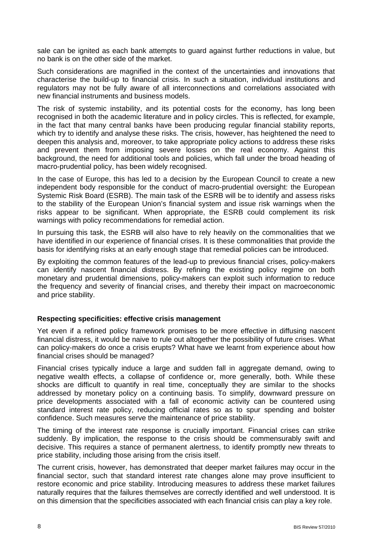sale can be ignited as each bank attempts to guard against further reductions in value, but no bank is on the other side of the market.

Such considerations are magnified in the context of the uncertainties and innovations that characterise the build-up to financial crisis. In such a situation, individual institutions and regulators may not be fully aware of all interconnections and correlations associated with new financial instruments and business models.

The risk of systemic instability, and its potential costs for the economy, has long been recognised in both the academic literature and in policy circles. This is reflected, for example, in the fact that many central banks have been producing regular financial stability reports, which try to identify and analyse these risks. The crisis, however, has heightened the need to deepen this analysis and, moreover, to take appropriate policy actions to address these risks and prevent them from imposing severe losses on the real economy. Against this background, the need for additional tools and policies, which fall under the broad heading of macro-prudential policy, has been widely recognised.

In the case of Europe, this has led to a decision by the European Council to create a new independent body responsible for the conduct of macro-prudential oversight: the European Systemic Risk Board (ESRB). The main task of the ESRB will be to identify and assess risks to the stability of the European Union's financial system and issue risk warnings when the risks appear to be significant. When appropriate, the ESRB could complement its risk warnings with policy recommendations for remedial action.

In pursuing this task, the ESRB will also have to rely heavily on the commonalities that we have identified in our experience of financial crises. It is these commonalities that provide the basis for identifying risks at an early enough stage that remedial policies can be introduced.

By exploiting the common features of the lead-up to previous financial crises, policy-makers can identify nascent financial distress. By refining the existing policy regime on both monetary and prudential dimensions, policy-makers can exploit such information to reduce the frequency and severity of financial crises, and thereby their impact on macroeconomic and price stability.

#### **Respecting specificities: effective crisis management**

Yet even if a refined policy framework promises to be more effective in diffusing nascent financial distress, it would be naive to rule out altogether the possibility of future crises. What can policy-makers do once a crisis erupts? What have we learnt from experience about how financial crises should be managed?

Financial crises typically induce a large and sudden fall in aggregate demand, owing to negative wealth effects, a collapse of confidence or, more generally, both. While these shocks are difficult to quantify in real time, conceptually they are similar to the shocks addressed by monetary policy on a continuing basis. To simplify, downward pressure on price developments associated with a fall of economic activity can be countered using standard interest rate policy, reducing official rates so as to spur spending and bolster confidence. Such measures serve the maintenance of price stability.

The timing of the interest rate response is crucially important. Financial crises can strike suddenly. By implication, the response to the crisis should be commensurably swift and decisive. This requires a stance of permanent alertness, to identify promptly new threats to price stability, including those arising from the crisis itself.

The current crisis, however, has demonstrated that deeper market failures may occur in the financial sector, such that standard interest rate changes alone may prove insufficient to restore economic and price stability. Introducing measures to address these market failures naturally requires that the failures themselves are correctly identified and well understood. It is on this dimension that the specificities associated with each financial crisis can play a key role.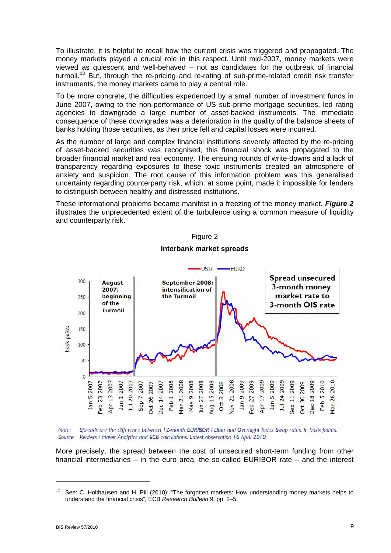To illustrate, it is helpful to recall how the current crisis was triggered and propagated. The money markets played a crucial role in this respect. Until mid-2007, money markets were viewed as quiescent and well-behaved – not as candidates for the outbreak of financial turmoil.<sup>[13](#page-8-0)</sup> But, through the re-pricing and re-rating of sub-prime-related credit risk transfer instruments, the money markets came to play a central role.

To be more concrete, the difficulties experienced by a small number of investment funds in June 2007, owing to the non-performance of US sub-prime mortgage securities, led rating agencies to downgrade a large number of asset-backed instruments. The immediate consequence of these downgrades was a deterioration in the quality of the balance sheets of banks holding those securities, as their price fell and capital losses were incurred.

As the number of large and complex financial institutions severely affected by the re-pricing of asset-backed securities was recognised, this financial shock was propagated to the broader financial market and real economy. The ensuing rounds of write-downs and a lack of transparency regarding exposures to these toxic instruments created an atmosphere of anxiety and suspicion. The root cause of this information problem was this generalised uncertainty regarding counterparty risk, which, at some point, made it impossible for lenders to distinguish between healthy and distressed institutions.

These informational problems became manifest in a freezing of the money market. *Figure 2* illustrates the unprecedented extent of the turbulence using a common measure of liquidity and counterparty risk.



# Figure 2 **Interbank market spreads**

Spreads are the difference between 12-month EURIBOR / Libor and Overnight Index Swap rates, in basis points. Note<sup>-</sup> Source: Reuters / Haver Analytics and ECB calculations. Latest observation 16 April 2010.

More precisely, the spread between the cost of unsecured short-term funding from other financial intermediaries – in the euro area, the so-called EURIBOR rate – and the interest

<span id="page-8-0"></span><sup>&</sup>lt;sup>13</sup> See: C. Holthausen and H. Pill (2010): "The forgotten markets: How understanding money markets helps to understand the financial crisis", ECB *Research Bulletin* 9, pp. 2–5.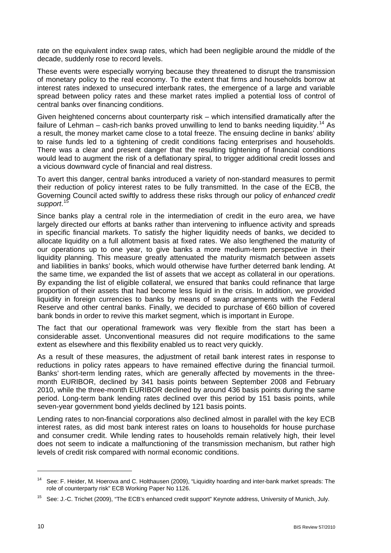rate on the equivalent index swap rates, which had been negligible around the middle of the decade, suddenly rose to record levels.

These events were especially worrying because they threatened to disrupt the transmission of monetary policy to the real economy. To the extent that firms and households borrow at interest rates indexed to unsecured interbank rates, the emergence of a large and variable spread between policy rates and these market rates implied a potential loss of control of central banks over financing conditions.

Given heightened concerns about counterparty risk – which intensified dramatically after the failure of Lehman – cash-rich banks proved unwilling to lend to banks needing liquidity.<sup>14</sup> As a result, the money market came close to a total freeze. The ensuing decline in banks' ability to raise funds led to a tightening of credit conditions facing enterprises and households. There was a clear and present danger that the resulting tightening of financial conditions would lead to augment the risk of a deflationary spiral, to trigger additional credit losses and a vicious downward cycle of financial and real distress.

To avert this danger, central banks introduced a variety of non-standard measures to permit their reduction of policy interest rates to be fully transmitted. In the case of the ECB, the Governing Council acted swiftly to address these risks through our policy of *enhanced credit support*. [15](#page-9-1)

Since banks play a central role in the intermediation of credit in the euro area, we have largely directed our efforts at banks rather than intervening to influence activity and spreads in specific financial markets. To satisfy the higher liquidity needs of banks, we decided to allocate liquidity on a full allotment basis at fixed rates. We also lengthened the maturity of our operations up to one year, to give banks a more medium-term perspective in their liquidity planning. This measure greatly attenuated the maturity mismatch between assets and liabilities in banks' books, which would otherwise have further deterred bank lending. At the same time, we expanded the list of assets that we accept as collateral in our operations. By expanding the list of eligible collateral, we ensured that banks could refinance that large proportion of their assets that had become less liquid in the crisis. In addition, we provided liquidity in foreign currencies to banks by means of swap arrangements with the Federal Reserve and other central banks. Finally, we decided to purchase of €60 billion of covered bank bonds in order to revive this market segment, which is important in Europe.

The fact that our operational framework was very flexible from the start has been a considerable asset. Unconventional measures did not require modifications to the same extent as elsewhere and this flexibility enabled us to react very quickly.

As a result of these measures, the adjustment of retail bank interest rates in response to reductions in policy rates appears to have remained effective during the financial turmoil. Banks' short-term lending rates, which are generally affected by movements in the threemonth EURIBOR, declined by 341 basis points between September 2008 and February 2010, while the three-month EURIBOR declined by around 436 basis points during the same period. Long-term bank lending rates declined over this period by 151 basis points, while seven-year government bond yields declined by 121 basis points.

Lending rates to non-financial corporations also declined almost in parallel with the key ECB interest rates, as did most bank interest rates on loans to households for house purchase and consumer credit. While lending rates to households remain relatively high, their level does not seem to indicate a malfunctioning of the transmission mechanism, but rather high levels of credit risk compared with normal economic conditions.

<span id="page-9-0"></span><sup>14</sup> See: F. Heider, M. Hoerova and C. Holthausen (2009), "Liquidity hoarding and inter-bank market spreads: The role of counterparty risk" ECB Working Paper No 1126.

<span id="page-9-1"></span><sup>&</sup>lt;sup>15</sup> See: J.-C. Trichet (2009), "The ECB's enhanced credit support" Keynote address, University of Munich, July.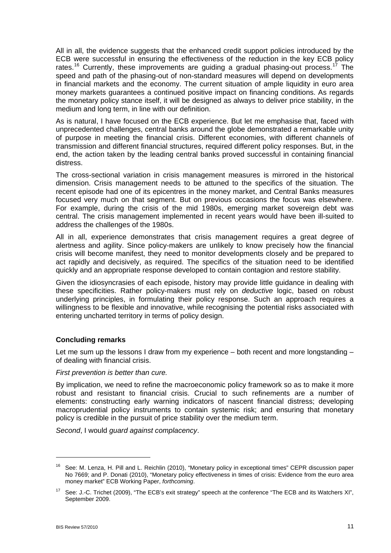All in all, the evidence suggests that the enhanced credit support policies introduced by the ECB were successful in ensuring the effectiveness of the reduction in the key ECB policy rates.<sup>16</sup> Currently, these improvements are guiding a gradual phasing-out process.<sup>[17](#page-10-1)</sup> The speed and path of the phasing-out of non-standard measures will depend on developments in financial markets and the economy. The current situation of ample liquidity in euro area money markets guarantees a continued positive impact on financing conditions. As regards the monetary policy stance itself, it will be designed as always to deliver price stability, in the medium and long term, in line with our definition.

As is natural, I have focused on the ECB experience. But let me emphasise that, faced with unprecedented challenges, central banks around the globe demonstrated a remarkable unity of purpose in meeting the financial crisis. Different economies, with different channels of transmission and different financial structures, required different policy responses. But, in the end, the action taken by the leading central banks proved successful in containing financial distress.

The cross-sectional variation in crisis management measures is mirrored in the historical dimension. Crisis management needs to be attuned to the specifics of the situation. The recent episode had one of its epicentres in the money market, and Central Banks measures focused very much on that segment. But on previous occasions the focus was elsewhere. For example, during the crisis of the mid 1980s, emerging market sovereign debt was central. The crisis management implemented in recent years would have been ill-suited to address the challenges of the 1980s.

All in all, experience demonstrates that crisis management requires a great degree of alertness and agility. Since policy-makers are unlikely to know precisely how the financial crisis will become manifest, they need to monitor developments closely and be prepared to act rapidly and decisively, as required. The specifics of the situation need to be identified quickly and an appropriate response developed to contain contagion and restore stability.

Given the idiosyncrasies of each episode, history may provide little guidance in dealing with these specificities. Rather policy-makers must rely on *deductive* logic, based on robust underlying principles, in formulating their policy response. Such an approach requires a willingness to be flexible and innovative, while recognising the potential risks associated with entering uncharted territory in terms of policy design.

### **Concluding remarks**

Let me sum up the lessons I draw from my experience – both recent and more longstanding – of dealing with financial crisis.

#### *First prevention is better than cure.*

By implication, we need to refine the macroeconomic policy framework so as to make it more robust and resistant to financial crisis. Crucial to such refinements are a number of elements: constructing early warning indicators of nascent financial distress; developing macroprudential policy instruments to contain systemic risk; and ensuring that monetary policy is credible in the pursuit of price stability over the medium term.

*Second*, I would *guard against complacency*.

<span id="page-10-0"></span><sup>16</sup> See: M. Lenza, H. Pill and L. Reichlin (2010), "Monetary policy in exceptional times" CEPR discussion paper No 7669; and P. Donati (2010), "Monetary policy effectiveness in times of crisis: Evidence from the euro area money market" ECB Working Paper, *forthcoming*.

<span id="page-10-1"></span><sup>&</sup>lt;sup>17</sup> See: J.-C. Trichet (2009), "The ECB's exit strategy" speech at the conference "The ECB and its Watchers XI", September 2009.